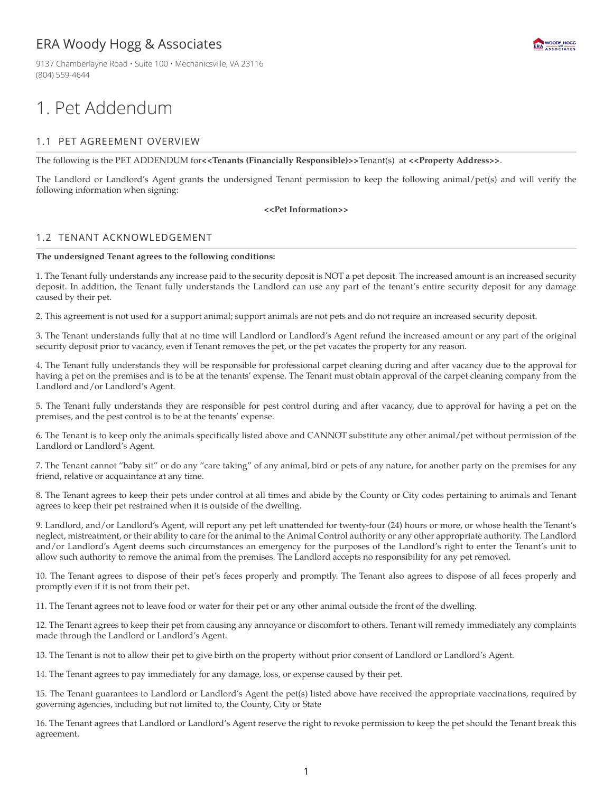## ERA Woody Hogg & Associates

9137 Chamberlayne Road · Suite 100 · Mechanicsville, VA 23116 (804) 559-4644

# 1. Pet Addendum

## 1.1 PET AGREEMENT OVERVIEW

The following is the PET ADDENDUM for**<<Tenants (Financially Responsible)>>**Tenant(s) at **<<Property Address>>**.

The Landlord or Landlord's Agent grants the undersigned Tenant permission to keep the following animal/pet(s) and will verify the following information when signing:

**ERA** MOODY HOGG

#### **<<Pet Information>>**

### 1.2 TENANT ACKNOWLEDGEMENT

#### **The undersigned Tenant agrees to the following conditions:**

1. The Tenant fully understands any increase paid to the security deposit is NOT a pet deposit. The increased amount is an increased security deposit. In addition, the Tenant fully understands the Landlord can use any part of the tenant's entire security deposit for any damage caused by their pet.

2. This agreement is not used for a support animal; support animals are not pets and do not require an increased security deposit.

3. The Tenant understands fully that at no time will Landlord or Landlord's Agent refund the increased amount or any part of the original security deposit prior to vacancy, even if Tenant removes the pet, or the pet vacates the property for any reason.

4. The Tenant fully understands they will be responsible for professional carpet cleaning during and after vacancy due to the approval for having a pet on the premises and is to be at the tenants' expense. The Tenant must obtain approval of the carpet cleaning company from the Landlord and/or Landlord's Agent.

5. The Tenant fully understands they are responsible for pest control during and after vacancy, due to approval for having a pet on the premises, and the pest control is to be at the tenants' expense.

6. The Tenant is to keep only the animals specifically listed above and CANNOT substitute any other animal/pet without permission of the Landlord or Landlord's Agent.

7. The Tenant cannot "baby sit" or do any "care taking" of any animal, bird or pets of any nature, for another party on the premises for any friend, relative or acquaintance at any time.

8. The Tenant agrees to keep their pets under control at all times and abide by the County or City codes pertaining to animals and Tenant agrees to keep their pet restrained when it is outside of the dwelling.

9. Landlord, and/or Landlord's Agent, will report any pet left unattended for twenty-four (24) hours or more, or whose health the Tenant's neglect, mistreatment, or their ability to care for the animal to the Animal Control authority or any other appropriate authority. The Landlord and/or Landlord's Agent deems such circumstances an emergency for the purposes of the Landlord's right to enter the Tenant's unit to allow such authority to remove the animal from the premises. The Landlord accepts no responsibility for any pet removed.

10. The Tenant agrees to dispose of their pet's feces properly and promptly. The Tenant also agrees to dispose of all feces properly and promptly even if it is not from their pet.

11. The Tenant agrees not to leave food or water for their pet or any other animal outside the front of the dwelling.

12. The Tenant agrees to keep their pet from causing any annoyance or discomfort to others. Tenant will remedy immediately any complaints made through the Landlord or Landlord's Agent.

13. The Tenant is not to allow their pet to give birth on the property without prior consent of Landlord or Landlord's Agent.

14. The Tenant agrees to pay immediately for any damage, loss, or expense caused by their pet.

15. The Tenant guarantees to Landlord or Landlord's Agent the pet(s) listed above have received the appropriate vaccinations, required by governing agencies, including but not limited to, the County, City or State

16. The Tenant agrees that Landlord or Landlord's Agent reserve the right to revoke permission to keep the pet should the Tenant break this agreement.